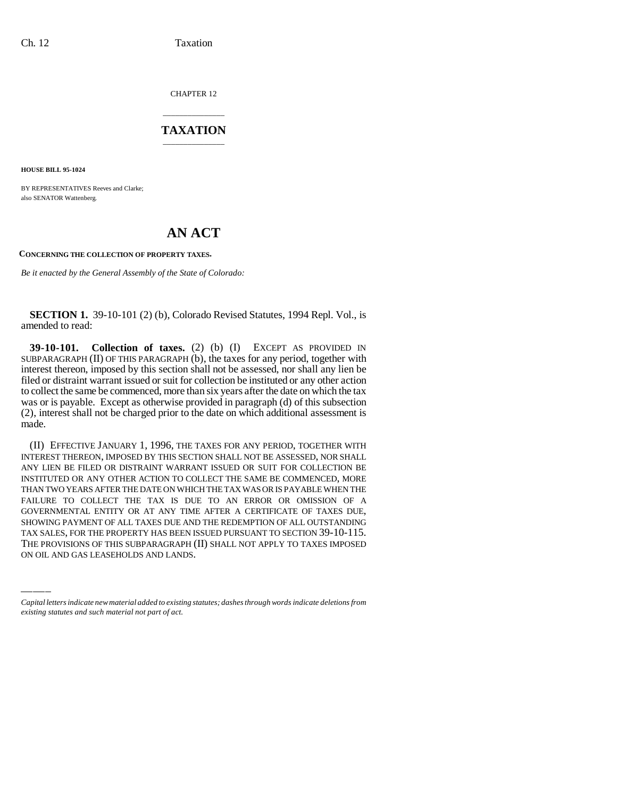CHAPTER 12

## \_\_\_\_\_\_\_\_\_\_\_\_\_\_\_ **TAXATION** \_\_\_\_\_\_\_\_\_\_\_\_\_\_\_

**HOUSE BILL 95-1024**

BY REPRESENTATIVES Reeves and Clarke; also SENATOR Wattenberg.

## **AN ACT**

## **CONCERNING THE COLLECTION OF PROPERTY TAXES.**

*Be it enacted by the General Assembly of the State of Colorado:*

**SECTION 1.** 39-10-101 (2) (b), Colorado Revised Statutes, 1994 Repl. Vol., is amended to read:

**39-10-101. Collection of taxes.** (2) (b) (I) EXCEPT AS PROVIDED IN SUBPARAGRAPH  $(II)$  OF THIS PARAGRAPH  $(b)$ , the taxes for any period, together with interest thereon, imposed by this section shall not be assessed, nor shall any lien be filed or distraint warrant issued or suit for collection be instituted or any other action to collect the same be commenced, more than six years after the date on which the tax was or is payable. Except as otherwise provided in paragraph (d) of this subsection (2), interest shall not be charged prior to the date on which additional assessment is made.

GOVERNMENTAL ENTITY OR AT ANY TIME AFTER A CERTIFICATE OF TAXES DUE,<br>SHOWING PAYMENT OF ALL TAXES DUE AND THE REDEMPTION OF ALL OUTSTANDING (II) EFFECTIVE JANUARY 1, 1996, THE TAXES FOR ANY PERIOD, TOGETHER WITH INTEREST THEREON, IMPOSED BY THIS SECTION SHALL NOT BE ASSESSED, NOR SHALL ANY LIEN BE FILED OR DISTRAINT WARRANT ISSUED OR SUIT FOR COLLECTION BE INSTITUTED OR ANY OTHER ACTION TO COLLECT THE SAME BE COMMENCED, MORE THAN TWO YEARS AFTER THE DATE ON WHICH THE TAX WAS OR IS PAYABLE WHEN THE FAILURE TO COLLECT THE TAX IS DUE TO AN ERROR OR OMISSION OF A GOVERNMENTAL ENTITY OR AT ANY TIME AFTER A CERTIFICATE OF TAXES DUE, TAX SALES, FOR THE PROPERTY HAS BEEN ISSUED PURSUANT TO SECTION 39-10-115. THE PROVISIONS OF THIS SUBPARAGRAPH (II) SHALL NOT APPLY TO TAXES IMPOSED ON OIL AND GAS LEASEHOLDS AND LANDS.

*Capital letters indicate new material added to existing statutes; dashes through words indicate deletions from existing statutes and such material not part of act.*